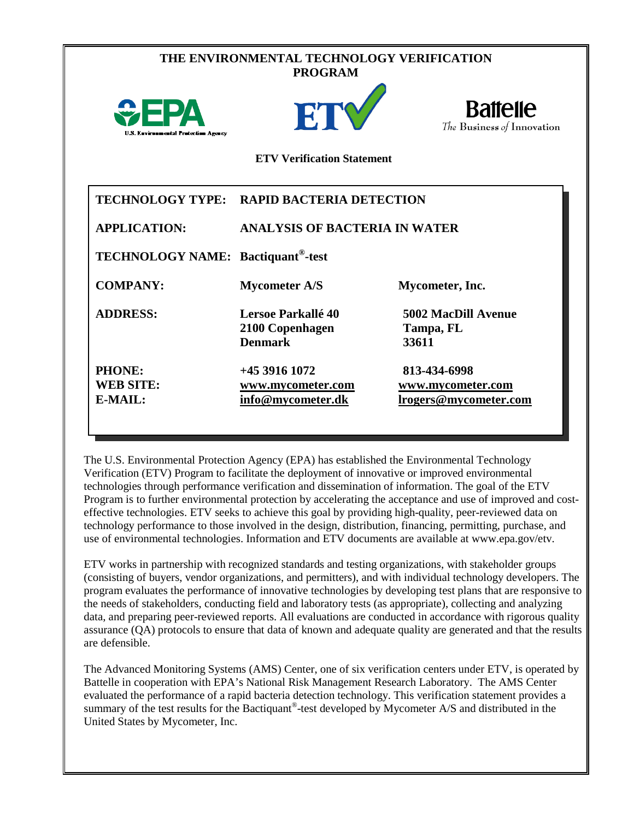|                                                       | THE ENVIRONMENTAL TECHNOLOGY VERIFICATION<br><b>PROGRAM</b><br>ETV | <b>Battelle</b>                            |
|-------------------------------------------------------|--------------------------------------------------------------------|--------------------------------------------|
| U.S. Environmental Protection Agency                  | <b>ETV Verification Statement</b>                                  | The Business of Innovation                 |
|                                                       | TECHNOLOGY TYPE: RAPID BACTERIA DETECTION                          |                                            |
| <b>APPLICATION:</b>                                   | <b>ANALYSIS OF BACTERIA IN WATER</b>                               |                                            |
| <b>TECHNOLOGY NAME:</b> Bactiquant <sup>®</sup> -test |                                                                    |                                            |
| <b>COMPANY:</b>                                       | <b>Mycometer A/S</b>                                               | Mycometer, Inc.                            |
| <b>ADDRESS:</b>                                       | Lersoe Parkallé 40<br>2100 Copenhagen<br><b>Denmark</b>            | 5002 MacDill Avenue<br>Tampa, FL<br>33611  |
| PHONE:                                                | +45 3916 1072                                                      | 813-434-6998                               |
| <b>WEB SITE:</b><br>E-MAIL:                           | www.mycometer.com<br>info@mycometer.dk                             | www.mycometer.com<br>lrogers@mycometer.com |

The U.S. Environmental Protection Agency (EPA) has established the Environmental Technology Verification (ETV) Program to facilitate the deployment of innovative or improved environmental technologies through performance verification and dissemination of information. The goal of the ETV Program is to further environmental protection by accelerating the acceptance and use of improved and costeffective technologies. ETV seeks to achieve this goal by providing high-quality, peer-reviewed data on technology performance to those involved in the design, distribution, financing, permitting, purchase, and use of environmental technologies. Information and ETV documents are available at www.epa.gov/etv.

ETV works in partnership with recognized standards and testing organizations, with stakeholder groups (consisting of buyers, vendor organizations, and permitters), and with individual technology developers. The program evaluates the performance of innovative technologies by developing test plans that are responsive to the needs of stakeholders, conducting field and laboratory tests (as appropriate), collecting and analyzing data, and preparing peer-reviewed reports. All evaluations are conducted in accordance with rigorous quality assurance (QA) protocols to ensure that data of known and adequate quality are generated and that the results are defensible.

The Advanced Monitoring Systems (AMS) Center, one of six verification centers under ETV, is operated by Battelle in cooperation with EPA's National Risk Management Research Laboratory. The AMS Center evaluated the performance of a rapid bacteria detection technology. This verification statement provides a summary of the test results for the Bactiquant<sup>®</sup>-test developed by Mycometer A/S and distributed in the United States by Mycometer, Inc.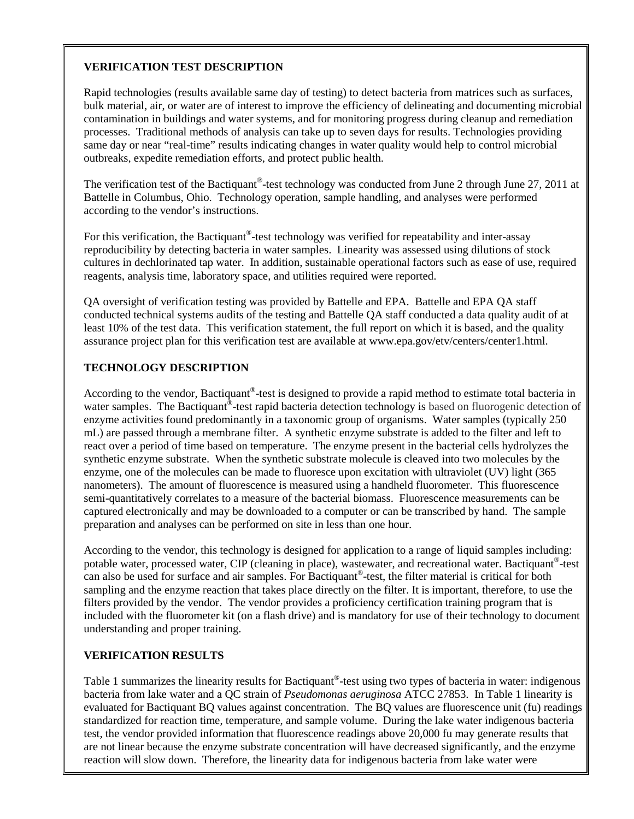## **VERIFICATION TEST DESCRIPTION**

Rapid technologies (results available same day of testing) to detect bacteria from matrices such as surfaces, bulk material, air, or water are of interest to improve the efficiency of delineating and documenting microbial contamination in buildings and water systems, and for monitoring progress during cleanup and remediation processes. Traditional methods of analysis can take up to seven days for results. Technologies providing same day or near "real-time" results indicating changes in water quality would help to control microbial outbreaks, expedite remediation efforts, and protect public health.

The verification test of the Bactiquant<sup>®</sup>-test technology was conducted from June 2 through June 27, 2011 at Battelle in Columbus, Ohio. Technology operation, sample handling, and analyses were performed according to the vendor's instructions.

For this verification, the Bactiquant®-test technology was verified for repeatability and inter-assay reproducibility by detecting bacteria in water samples. Linearity was assessed using dilutions of stock cultures in dechlorinated tap water. In addition, sustainable operational factors such as ease of use, required reagents, analysis time, laboratory space, and utilities required were reported.

QA oversight of verification testing was provided by Battelle and EPA. Battelle and EPA QA staff conducted technical systems audits of the testing and Battelle QA staff conducted a data quality audit of at least 10% of the test data. This verification statement, the full report on which it is based, and the quality assurance project plan for this verification test are available at www.epa.gov/etv/centers/center1.html.

## **TECHNOLOGY DESCRIPTION**

According to the vendor, Bactiquant®-test is designed to provide a rapid method to estimate total bacteria in water samples. The Bactiquant<sup>®</sup>-test rapid bacteria detection technology is based on fluorogenic detection of enzyme activities found predominantly in a taxonomic group of organisms. Water samples (typically 250 mL) are passed through a membrane filter. A synthetic enzyme substrate is added to the filter and left to react over a period of time based on temperature. The enzyme present in the bacterial cells hydrolyzes the synthetic enzyme substrate. When the synthetic substrate molecule is cleaved into two molecules by the enzyme, one of the molecules can be made to fluoresce upon excitation with ultraviolet (UV) light (365 nanometers). The amount of fluorescence is measured using a handheld fluorometer. This fluorescence semi-quantitatively correlates to a measure of the bacterial biomass. Fluorescence measurements can be captured electronically and may be downloaded to a computer or can be transcribed by hand. The sample preparation and analyses can be performed on site in less than one hour.

According to the vendor, this technology is designed for application to a range of liquid samples including: potable water, processed water, CIP (cleaning in place), wastewater, and recreational water. Bactiquant®-test can also be used for surface and air samples. For Bactiquant®-test, the filter material is critical for both sampling and the enzyme reaction that takes place directly on the filter. It is important, therefore, to use the filters provided by the vendor. The vendor provides a proficiency certification training program that is included with the fluorometer kit (on a flash drive) and is mandatory for use of their technology to document understanding and proper training.

## **VERIFICATION RESULTS**

Table 1 summarizes the linearity results for Bactiquant<sup>®</sup>-test using two types of bacteria in water: indigenous bacteria from lake water and a QC strain of *Pseudomonas aeruginosa* ATCC 27853. In Table 1 linearity is evaluated for Bactiquant BQ values against concentration. The BQ values are fluorescence unit (fu) readings standardized for reaction time, temperature, and sample volume. During the lake water indigenous bacteria test, the vendor provided information that fluorescence readings above 20,000 fu may generate results that are not linear because the enzyme substrate concentration will have decreased significantly, and the enzyme reaction will slow down. Therefore, the linearity data for indigenous bacteria from lake water were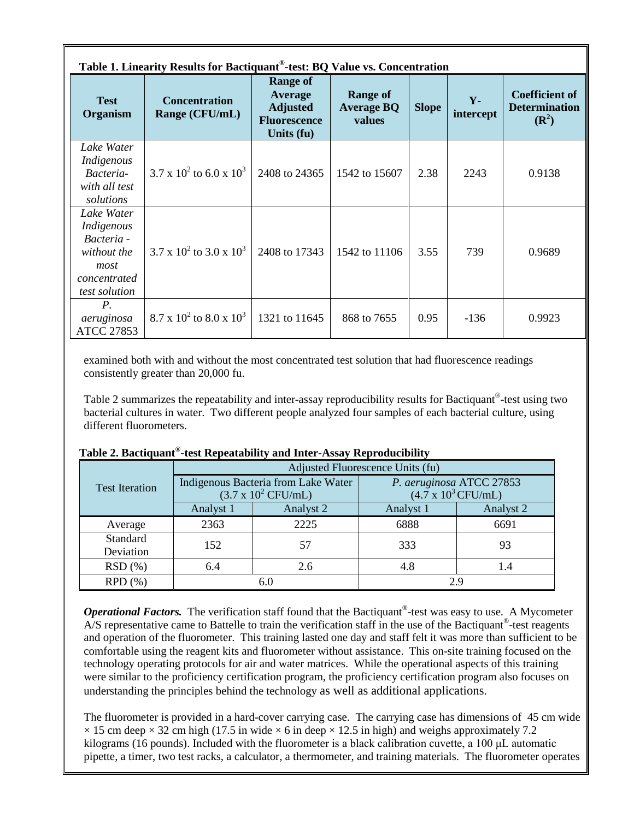| Table 1. Linearity Results for Bactiquant®-test: BQ Value vs. Concentration                    |                                        |                                                                                           |                                                |              |                    |                                                                   |
|------------------------------------------------------------------------------------------------|----------------------------------------|-------------------------------------------------------------------------------------------|------------------------------------------------|--------------|--------------------|-------------------------------------------------------------------|
| <b>Test</b><br><b>Organism</b>                                                                 | <b>Concentration</b><br>Range (CFU/mL) | <b>Range of</b><br><b>Average</b><br><b>Adjusted</b><br><b>Fluorescence</b><br>Units (fu) | <b>Range of</b><br><b>Average BQ</b><br>values | <b>Slope</b> | $Y -$<br>intercept | <b>Coefficient of</b><br><b>Determination</b><br>$(\mathbb{R}^2)$ |
| Lake Water<br>Indigenous<br>Bacteria-<br>with all test<br>solutions                            | $3.7 \times 10^2$ to 6.0 x $10^3$      | 2408 to 24365                                                                             | 1542 to 15607                                  | 2.38         | 2243               | 0.9138                                                            |
| Lake Water<br>Indigenous<br>Bacteria -<br>without the<br>most<br>concentrated<br>test solution | $3.7 \times 10^2$ to $3.0 \times 10^3$ | 2408 to 17343                                                                             | 1542 to 11106                                  | 3.55         | 739                | 0.9689                                                            |
| $P_{\cdot}$<br>aeruginosa<br><b>ATCC 27853</b>                                                 | $8.7 \times 10^2$ to $8.0 \times 10^3$ | 1321 to 11645                                                                             | 868 to 7655                                    | 0.95         | $-136$             | 0.9923                                                            |

examined both with and without the most concentrated test solution that had fluorescence readings consistently greater than 20,000 fu.

Table 2 summarizes the repeatability and inter-assay reproducibility results for Bactiquant®-test using two bacterial cultures in water. Two different people analyzed four samples of each bacterial culture, using different fluorometers.

|                       | Adjusted Fluorescence Units (fu)                                          |           |                                                                |                 |  |
|-----------------------|---------------------------------------------------------------------------|-----------|----------------------------------------------------------------|-----------------|--|
| <b>Test Iteration</b> | Indigenous Bacteria from Lake Water<br>$(3.7 \times 10^2 \text{ CFU/mL})$ |           | P. aeruginosa ATCC 27853<br>$(4.7 \times 10^3 \text{ CFU/mL})$ |                 |  |
|                       | Analyst 1                                                                 | Analyst 2 | Analyst 1                                                      | Analyst 2       |  |
| Average               | 2363                                                                      | 2225      | 6888                                                           | 6691            |  |
| Standard<br>Deviation | 152                                                                       | 57        | 333                                                            | 93              |  |
| RSD(%)                | 6.4                                                                       | 2.6       | 4.8                                                            | $\mathsf{I}$ .4 |  |
| RPD(%)                |                                                                           | 6.0       |                                                                | 2.9             |  |

## **Table 2. Bactiquant®-test Repeatability and Inter-Assay Reproducibility**

*Operational Factors.* The verification staff found that the Bactiquant®-test was easy to use. A Mycometer A/S representative came to Battelle to train the verification staff in the use of the Bactiquant<sup>®</sup>-test reagents and operation of the fluorometer. This training lasted one day and staff felt it was more than sufficient to be comfortable using the reagent kits and fluorometer without assistance. This on-site training focused on the technology operating protocols for air and water matrices. While the operational aspects of this training were similar to the proficiency certification program, the proficiency certification program also focuses on understanding the principles behind the technology as well as additional applications.

The fluorometer is provided in a hard-cover carrying case. The carrying case has dimensions of 45 cm wide  $\times$  15 cm deep  $\times$  32 cm high (17.5 in wide  $\times$  6 in deep  $\times$  12.5 in high) and weighs approximately 7.2 kilograms (16 pounds). Included with the fluorometer is a black calibration cuvette, a 100 μL automatic pipette, a timer, two test racks, a calculator, a thermometer, and training materials. The fluorometer operates